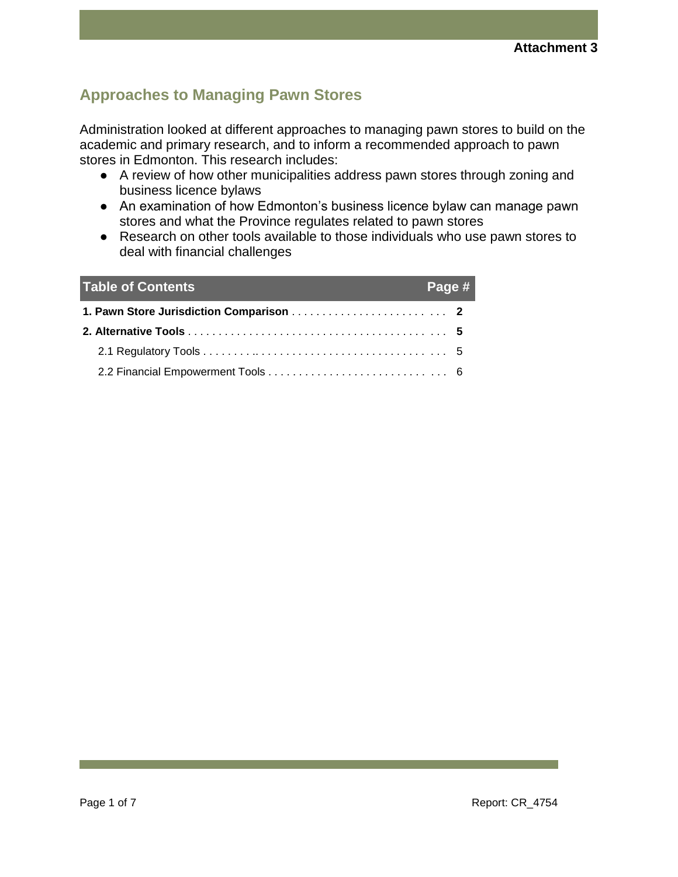## **Approaches to Managing Pawn Stores**

Administration looked at different approaches to managing pawn stores to build on the academic and primary research, and to inform a recommended approach to pawn stores in Edmonton. This research includes:

- A review of how other municipalities address pawn stores through zoning and business licence bylaws
- An examination of how Edmonton's business licence bylaw can manage pawn stores and what the Province regulates related to pawn stores
- Research on other tools available to those individuals who use pawn stores to deal with financial challenges

| <b>Table of Contents</b> | Page # |  |
|--------------------------|--------|--|
|                          |        |  |
|                          |        |  |
|                          |        |  |
|                          |        |  |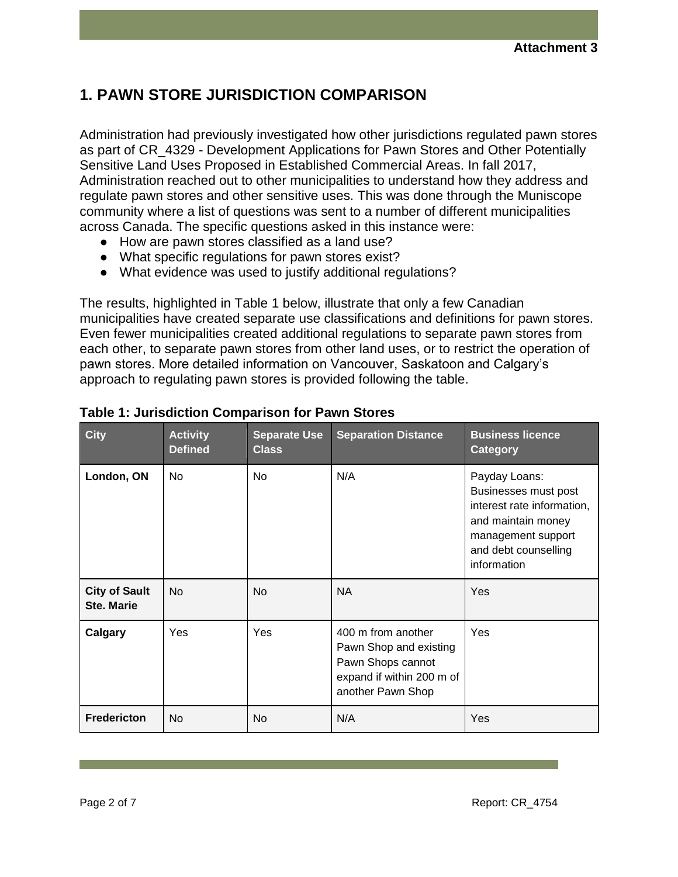# **1. PAWN STORE JURISDICTION COMPARISON**

Administration had previously investigated how other jurisdictions regulated pawn stores as part of CR\_4329 - Development Applications for Pawn Stores and Other Potentially Sensitive Land Uses Proposed in Established Commercial Areas. In fall 2017, Administration reached out to other municipalities to understand how they address and regulate pawn stores and other sensitive uses. This was done through the Muniscope community where a list of questions was sent to a number of different municipalities across Canada. The specific questions asked in this instance were:

- How are pawn stores classified as a land use?
- What specific regulations for pawn stores exist?
- What evidence was used to justify additional regulations?

The results, highlighted in Table 1 below, illustrate that only a few Canadian municipalities have created separate use classifications and definitions for pawn stores. Even fewer municipalities created additional regulations to separate pawn stores from each other, to separate pawn stores from other land uses, or to restrict the operation of pawn stores. More detailed information on Vancouver, Saskatoon and Calgary's approach to regulating pawn stores is provided following the table.

| <b>City</b>                               | <b>Activity</b><br><b>Defined</b> | <b>Separate Use</b><br><b>Class</b> | <b>Separation Distance</b>                                                                                          | <b>Business licence</b><br><b>Category</b>                                                                                                             |
|-------------------------------------------|-----------------------------------|-------------------------------------|---------------------------------------------------------------------------------------------------------------------|--------------------------------------------------------------------------------------------------------------------------------------------------------|
| London, ON                                | <b>No</b>                         | <b>No</b>                           | N/A                                                                                                                 | Payday Loans:<br>Businesses must post<br>interest rate information,<br>and maintain money<br>management support<br>and debt counselling<br>information |
| <b>City of Sault</b><br><b>Ste. Marie</b> | No.                               | <b>No</b>                           | <b>NA</b>                                                                                                           | Yes                                                                                                                                                    |
| <b>Calgary</b>                            | Yes                               | Yes                                 | 400 m from another<br>Pawn Shop and existing<br>Pawn Shops cannot<br>expand if within 200 m of<br>another Pawn Shop | Yes                                                                                                                                                    |
| <b>Fredericton</b>                        | No                                | No                                  | N/A                                                                                                                 | Yes                                                                                                                                                    |

### **Table 1: Jurisdiction Comparison for Pawn Stores**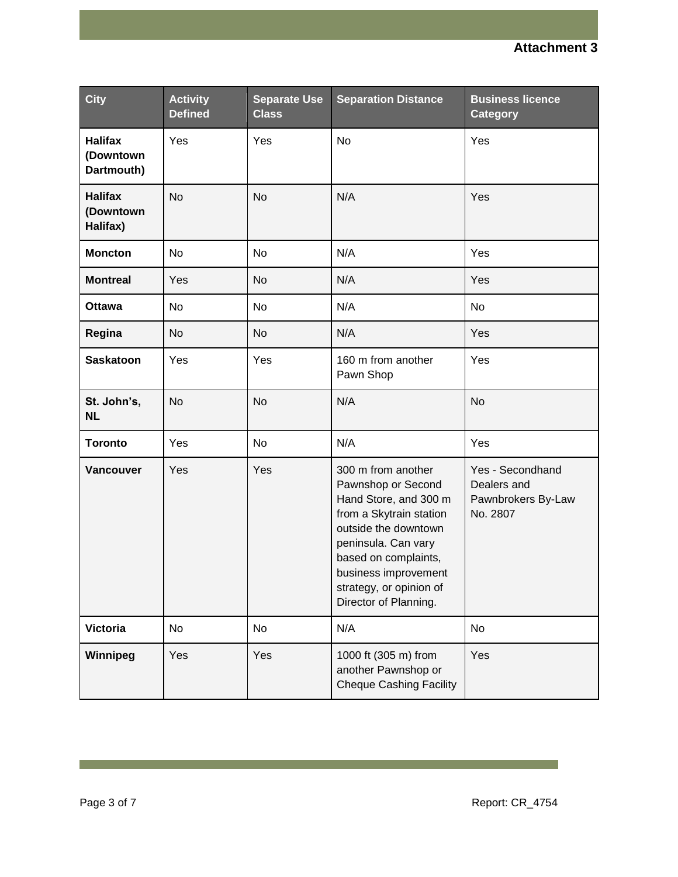| <b>City</b>                               | <b>Activity</b><br><b>Defined</b> | <b>Separate Use</b><br><b>Class</b> | <b>Separation Distance</b>                                                                                                                                                                                                                      | <b>Business licence</b><br><b>Category</b>                        |
|-------------------------------------------|-----------------------------------|-------------------------------------|-------------------------------------------------------------------------------------------------------------------------------------------------------------------------------------------------------------------------------------------------|-------------------------------------------------------------------|
| <b>Halifax</b><br>(Downtown<br>Dartmouth) | Yes                               | Yes                                 | No                                                                                                                                                                                                                                              | Yes                                                               |
| <b>Halifax</b><br>(Downtown<br>Halifax)   | <b>No</b>                         | <b>No</b>                           | N/A                                                                                                                                                                                                                                             | Yes                                                               |
| <b>Moncton</b>                            | <b>No</b>                         | No.                                 | N/A                                                                                                                                                                                                                                             | Yes                                                               |
| <b>Montreal</b>                           | Yes                               | <b>No</b>                           | N/A                                                                                                                                                                                                                                             | Yes                                                               |
| <b>Ottawa</b>                             | No                                | No                                  | N/A                                                                                                                                                                                                                                             | <b>No</b>                                                         |
| Regina                                    | No                                | No                                  | N/A                                                                                                                                                                                                                                             | Yes                                                               |
| <b>Saskatoon</b>                          | Yes                               | Yes                                 | 160 m from another<br>Pawn Shop                                                                                                                                                                                                                 | Yes                                                               |
| St. John's,<br><b>NL</b>                  | <b>No</b>                         | <b>No</b>                           | N/A                                                                                                                                                                                                                                             | <b>No</b>                                                         |
| <b>Toronto</b>                            | Yes                               | No                                  | N/A                                                                                                                                                                                                                                             | Yes                                                               |
| Vancouver                                 | Yes                               | Yes                                 | 300 m from another<br>Pawnshop or Second<br>Hand Store, and 300 m<br>from a Skytrain station<br>outside the downtown<br>peninsula. Can vary<br>based on complaints,<br>business improvement<br>strategy, or opinion of<br>Director of Planning. | Yes - Secondhand<br>Dealers and<br>Pawnbrokers By-Law<br>No. 2807 |
| <b>Victoria</b>                           | No                                | No                                  | N/A                                                                                                                                                                                                                                             | No                                                                |
| Winnipeg                                  | Yes                               | Yes                                 | 1000 ft (305 m) from<br>another Pawnshop or<br><b>Cheque Cashing Facility</b>                                                                                                                                                                   | Yes                                                               |

**Contract Contract**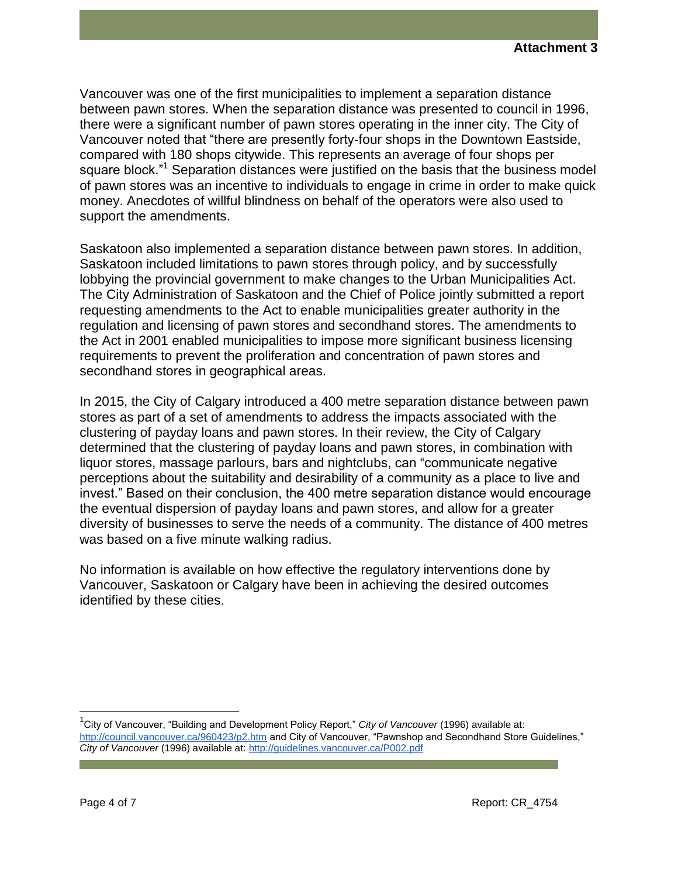Vancouver was one of the first municipalities to implement a separation distance between pawn stores. When the separation distance was presented to council in 1996, there were a significant number of pawn stores operating in the inner city. The City of Vancouver noted that "there are presently forty-four shops in the Downtown Eastside, compared with 180 shops citywide. This represents an average of four shops per square block."<sup>1</sup> Separation distances were justified on the basis that the business model of pawn stores was an incentive to individuals to engage in crime in order to make quick money. Anecdotes of willful blindness on behalf of the operators were also used to support the amendments.

Saskatoon also implemented a separation distance between pawn stores. In addition, Saskatoon included limitations to pawn stores through policy, and by successfully lobbying the provincial government to make changes to the Urban Municipalities Act. The City Administration of Saskatoon and the Chief of Police jointly submitted a report requesting amendments to the Act to enable municipalities greater authority in the regulation and licensing of pawn stores and secondhand stores. The amendments to the Act in 2001 enabled municipalities to impose more significant business licensing requirements to prevent the proliferation and concentration of pawn stores and secondhand stores in geographical areas.

In 2015, the City of Calgary introduced a 400 metre separation distance between pawn stores as part of a set of amendments to address the impacts associated with the clustering of payday loans and pawn stores. In their review, the City of Calgary determined that the clustering of payday loans and pawn stores, in combination with liquor stores, massage parlours, bars and nightclubs, can "communicate negative perceptions about the suitability and desirability of a community as a place to live and invest." Based on their conclusion, the 400 metre separation distance would encourage the eventual dispersion of payday loans and pawn stores, and allow for a greater diversity of businesses to serve the needs of a community. The distance of 400 metres was based on a five minute walking radius.

No information is available on how effective the regulatory interventions done by Vancouver, Saskatoon or Calgary have been in achieving the desired outcomes identified by these cities.

<sup>1</sup> City of Vancouver, "Building and Development Policy Report," *City of Vancouver* (1996) available at: <http://council.vancouver.ca/960423/p2.htm> and City of Vancouver, "Pawnshop and Secondhand Store Guidelines," *City of Vancouver* (1996) available at[: http://guidelines.vancouver.ca/P002.pdf](http://guidelines.vancouver.ca/P002.pdf)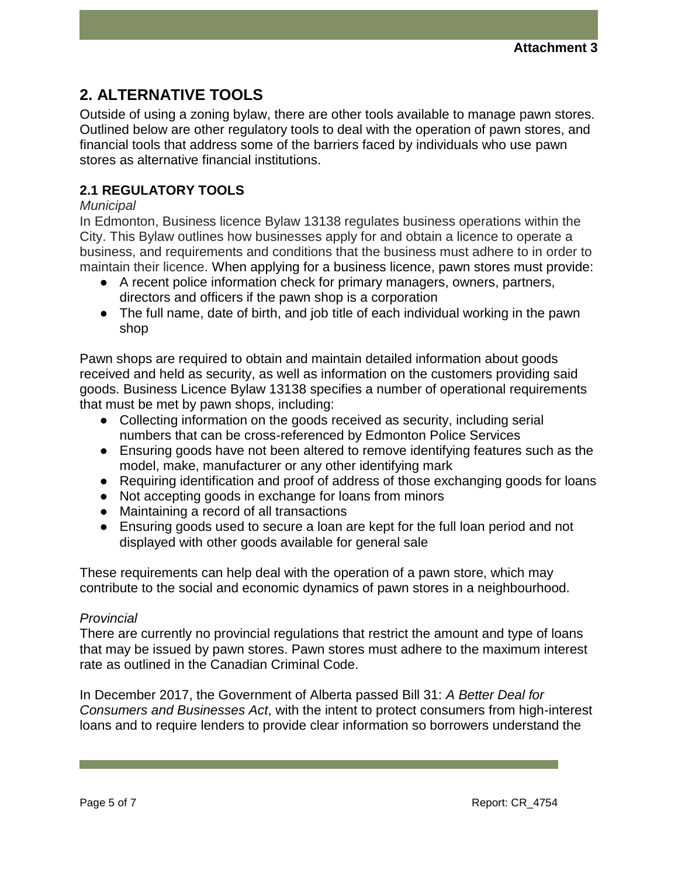## **2. ALTERNATIVE TOOLS**

Outside of using a zoning bylaw, there are other tools available to manage pawn stores. Outlined below are other regulatory tools to deal with the operation of pawn stores, and financial tools that address some of the barriers faced by individuals who use pawn stores as alternative financial institutions.

### **2.1 REGULATORY TOOLS**

#### *Municipal*

In Edmonton, Business licence Bylaw 13138 regulates business operations within the City. This Bylaw outlines how businesses apply for and obtain a licence to operate a business, and requirements and conditions that the business must adhere to in order to maintain their licence. When applying for a business licence, pawn stores must provide:

- A recent police information check for primary managers, owners, partners, directors and officers if the pawn shop is a corporation
- The full name, date of birth, and job title of each individual working in the pawn shop

Pawn shops are required to obtain and maintain detailed information about goods received and held as security, as well as information on the customers providing said goods. Business Licence Bylaw 13138 specifies a number of operational requirements that must be met by pawn shops, including:

- Collecting information on the goods received as security, including serial numbers that can be cross-referenced by Edmonton Police Services
- Ensuring goods have not been altered to remove identifying features such as the model, make, manufacturer or any other identifying mark
- Requiring identification and proof of address of those exchanging goods for loans
- Not accepting goods in exchange for loans from minors
- Maintaining a record of all transactions
- Ensuring goods used to secure a loan are kept for the full loan period and not displayed with other goods available for general sale

These requirements can help deal with the operation of a pawn store, which may contribute to the social and economic dynamics of pawn stores in a neighbourhood.

#### *Provincial*

There are currently no provincial regulations that restrict the amount and type of loans that may be issued by pawn stores. Pawn stores must adhere to the maximum interest rate as outlined in the Canadian Criminal Code.

In December 2017, the Government of Alberta passed Bill 31: *A Better Deal for Consumers and Businesses Act*, with the intent to protect consumers from high-interest loans and to require lenders to provide clear information so borrowers understand the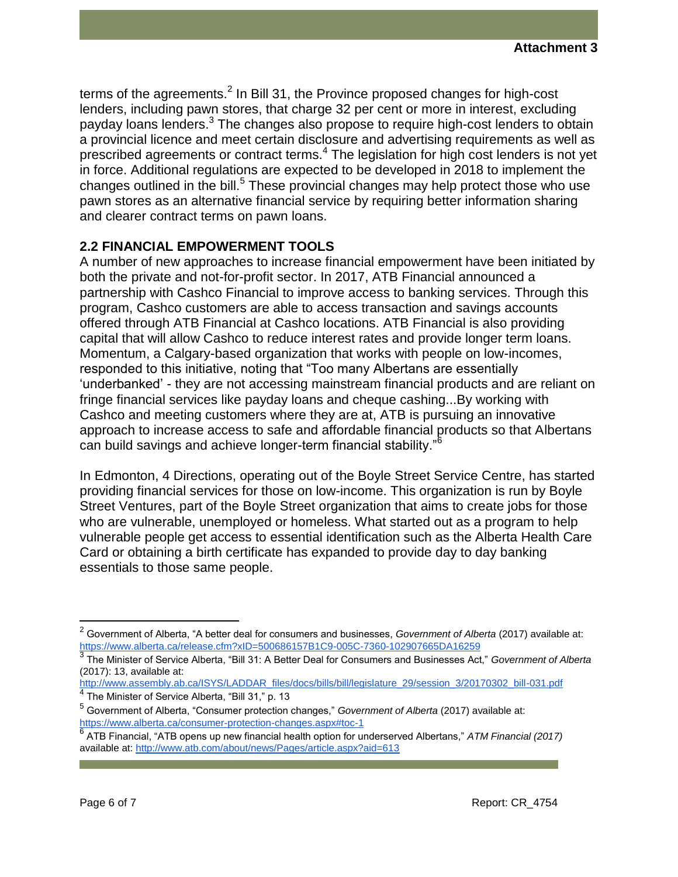terms of the agreements.<sup>2</sup> In Bill 31, the Province proposed changes for high-cost lenders, including pawn stores, that charge 32 per cent or more in interest, excluding payday loans lenders.<sup>3</sup> The changes also propose to require high-cost lenders to obtain a provincial licence and meet certain disclosure and advertising requirements as well as prescribed agreements or contract terms.<sup>4</sup> The legislation for high cost lenders is not yet in force. Additional regulations are expected to be developed in 2018 to implement the changes outlined in the bill.<sup>5</sup> These provincial changes may help protect those who use pawn stores as an alternative financial service by requiring better information sharing and clearer contract terms on pawn loans.

### **2.2 FINANCIAL EMPOWERMENT TOOLS**

A number of new approaches to increase financial empowerment have been initiated by both the private and not-for-profit sector. In 2017, ATB Financial announced a partnership with Cashco Financial to improve access to banking services. Through this program, Cashco customers are able to access transaction and savings accounts offered through ATB Financial at Cashco locations. ATB Financial is also providing capital that will allow Cashco to reduce interest rates and provide longer term loans. Momentum, a Calgary-based organization that works with people on low-incomes, responded to this initiative, noting that "Too many Albertans are essentially 'underbanked' - they are not accessing mainstream financial products and are reliant on fringe financial services like payday loans and cheque cashing...By working with Cashco and meeting customers where they are at, ATB is pursuing an innovative approach to increase access to safe and affordable financial products so that Albertans can build savings and achieve longer-term financial stability."<sup>6</sup>

In Edmonton, 4 Directions, operating out of the Boyle Street Service Centre, has started providing financial services for those on low-income. This organization is run by Boyle Street Ventures, part of the Boyle Street organization that aims to create jobs for those who are vulnerable, unemployed or homeless. What started out as a program to help vulnerable people get access to essential identification such as the Alberta Health Care Card or obtaining a birth certificate has expanded to provide day to day banking essentials to those same people.

[http://www.assembly.ab.ca/ISYS/LADDAR\\_files/docs/bills/bill/legislature\\_29/session\\_3/20170302\\_bill-031.pdf](http://www.assembly.ab.ca/ISYS/LADDAR_files/docs/bills/bill/legislature_29/session_3/20170302_bill-031.pdf) <sup>4</sup> The Minister of Service Alberta, "Bill 31," p. 13

<sup>2</sup> Government of Alberta, "A better deal for consumers and businesses, *Government of Alberta* (2017) available at: <https://www.alberta.ca/release.cfm?xID=500686157B1C9-005C-7360-102907665DA16259>

<sup>3</sup> The Minister of Service Alberta, "Bill 31: A Better Deal for Consumers and Businesses Act," *Government of Alberta*  (2017): 13, available at:

<sup>5</sup> Government of Alberta, "Consumer protection changes," *Government of Alberta* (2017) available at: <https://www.alberta.ca/consumer-protection-changes.aspx#toc-1>

<sup>6</sup> ATB Financial, "ATB opens up new financial health option for underserved Albertans," *ATM Financial (2017)* available at[: http://www.atb.com/about/news/Pages/article.aspx?aid=613](http://www.atb.com/about/news/Pages/article.aspx?aid=613)